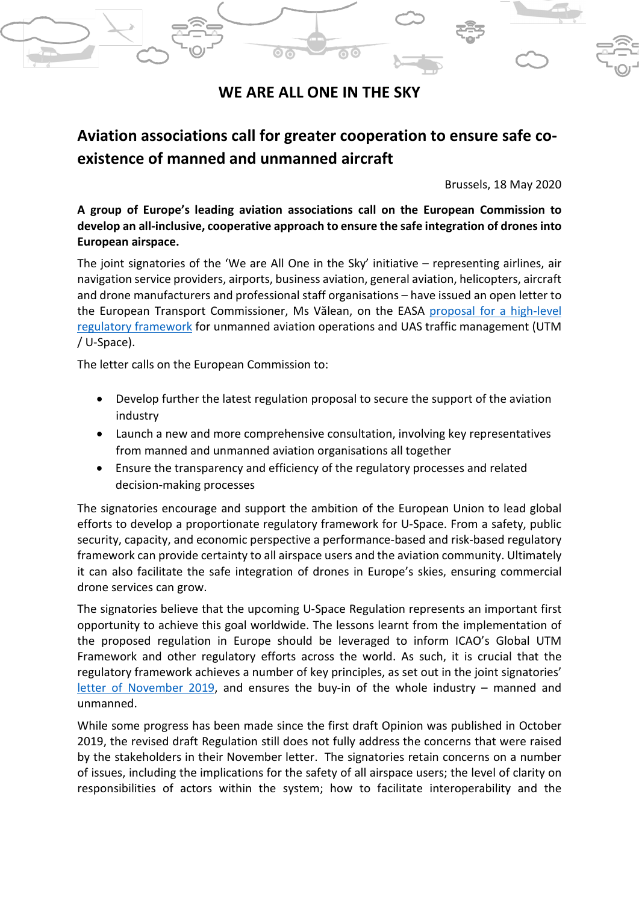## **WE ARE ALL ONE IN THE SKY**

# **Aviation associations call for greater cooperation to ensure safe coexistence of manned and unmanned aircraft**

Brussels, 18 May 2020

**A group of Europe's leading aviation associations call on the European Commission to develop an all-inclusive, cooperative approach to ensure the safe integration of drones into European airspace.**

The joint signatories of the 'We are All One in the Sky' initiative – representing airlines, air navigation service providers, airports, business aviation, general aviation, helicopters, aircraft and drone manufacturers and professional staff organisations – have issued an open letter to the European Transport Commissioner, Ms Vălean, on the EASA [proposal for a high-level](https://www.easa.europa.eu/document-library/opinions/opinion-012020)  [regulatory framework](https://www.easa.europa.eu/document-library/opinions/opinion-012020) for unmanned aviation operations and UAS traffic management (UTM / U-Space).

The letter calls on the European Commission to:

- Develop further the latest regulation proposal to secure the support of the aviation industry
- Launch a new and more comprehensive consultation, involving key representatives from manned and unmanned aviation organisations all together
- Ensure the transparency and efficiency of the regulatory processes and related decision-making processes

The signatories encourage and support the ambition of the European Union to lead global efforts to develop a proportionate regulatory framework for U-Space. From a safety, public security, capacity, and economic perspective a performance-based and risk-based regulatory framework can provide certainty to all airspace users and the aviation community. Ultimately it can also facilitate the safe integration of drones in Europe's skies, ensuring commercial drone services can grow.

The signatories believe that the upcoming U-Space Regulation represents an important first opportunity to achieve this goal worldwide. The lessons learnt from the implementation of the proposed regulation in Europe should be leveraged to inform ICAO's Global UTM Framework and other regulatory efforts across the world. As such, it is crucial that the regulatory framework achieves a number of key principles, as set out in the joint signatories' [letter of November 2019,](https://www.canso.org/system/files/pictures/IMAGES/Documents/We%20are%20ALL%20ONE%20in%20the%20sky%20position%20-%20Joint%20Principles%20safe%20integration%20of%20drones.pdf) and ensures the buy-in of the whole industry – manned and unmanned.

While some progress has been made since the first draft Opinion was published in October 2019, the revised draft Regulation still does not fully address the concerns that were raised by the stakeholders in their November letter. The signatories retain concerns on a number of issues, including the implications for the safety of all airspace users; the level of clarity on responsibilities of actors within the system; how to facilitate interoperability and the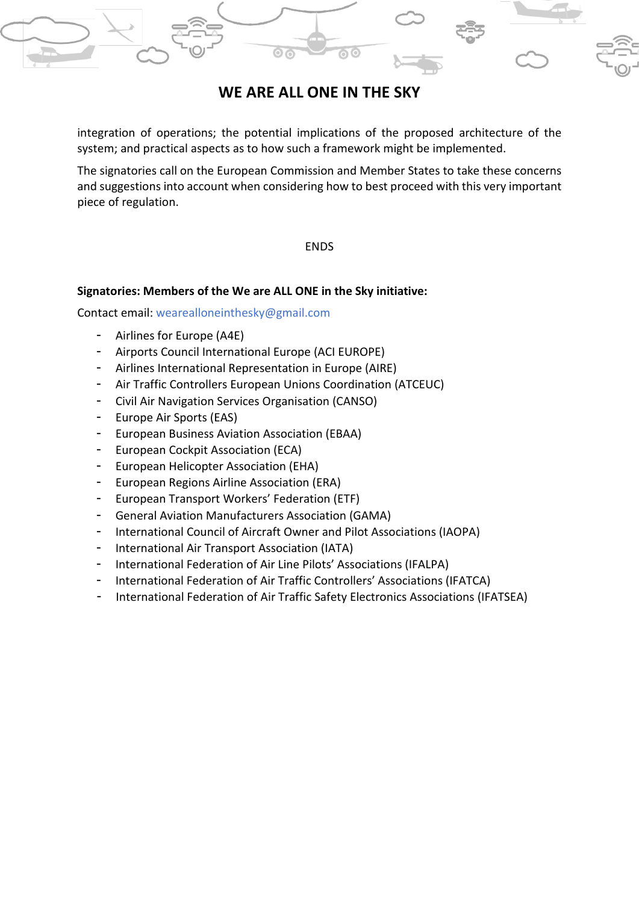

## **WE ARE ALL ONE IN THE SKY**

integration of operations; the potential implications of the proposed architecture of the system; and practical aspects as to how such a framework might be implemented.

The signatories call on the European Commission and Member States to take these concerns and suggestions into account when considering how to best proceed with this very important piece of regulation.

### ENDS

### **Signatories: Members of the We are ALL ONE in the Sky initiative:**

Contact email: wearealloneinthesky@gmail.com

- Airlines for Europe (A4E)
- Airports Council International Europe (ACI EUROPE)
- Airlines International Representation in Europe (AIRE)
- Air Traffic Controllers European Unions Coordination (ATCEUC)
- Civil Air Navigation Services Organisation (CANSO)
- Europe Air Sports (EAS)
- European Business Aviation Association (EBAA)
- European Cockpit Association (ECA)
- European Helicopter Association (EHA)
- European Regions Airline Association (ERA)
- European Transport Workers' Federation (ETF)
- General Aviation Manufacturers Association (GAMA)
- International Council of Aircraft Owner and Pilot Associations (IAOPA)
- International Air Transport Association (IATA)
- International Federation of Air Line Pilots' Associations (IFALPA)
- International Federation of Air Traffic Controllers' Associations (IFATCA)
- International Federation of Air Traffic Safety Electronics Associations (IFATSEA)